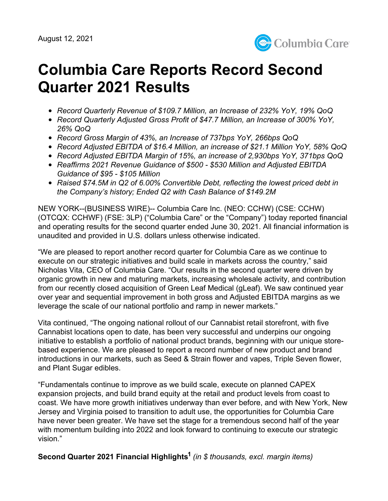

# **Columbia Care Reports Record Second Quarter 2021 Results**

- *Record Quarterly Revenue of \$109.7 Million, an Increase of 232% YoY, 19% QoQ*
- *Record Quarterly Adjusted Gross Profit of \$47.7 Million, an Increase of 300% YoY, 26% QoQ*
- *Record Gross Margin of 43%, an Increase of 737bps YoY, 266bps QoQ*
- *Record Adjusted EBITDA of \$16.4 Million, an increase of \$21.1 Million YoY, 58% QoQ*
- *Record Adjusted EBITDA Margin of 15%, an increase of 2,930bps YoY, 371bps QoQ*
- *Reaffirms 2021 Revenue Guidance of \$500 - \$530 Million and Adjusted EBITDA Guidance of \$95 - \$105 Million*
- *Raised \$74.5M in Q2 of 6.00% Convertible Debt, reflecting the lowest priced debt in the Company's history; Ended Q2 with Cash Balance of \$149.2M*

NEW YORK--(BUSINESS WIRE)-- Columbia Care Inc. (NEO: CCHW) (CSE: CCHW) (OTCQX: CCHWF) (FSE: 3LP) ("Columbia Care" or the "Company") today reported financial and operating results for the second quarter ended June 30, 2021. All financial information is unaudited and provided in U.S. dollars unless otherwise indicated.

"We are pleased to report another record quarter for Columbia Care as we continue to execute on our strategic initiatives and build scale in markets across the country," said Nicholas Vita, CEO of Columbia Care. "Our results in the second quarter were driven by organic growth in new and maturing markets, increasing wholesale activity, and contribution from our recently closed acquisition of Green Leaf Medical (gLeaf). We saw continued year over year and sequential improvement in both gross and Adjusted EBITDA margins as we leverage the scale of our national portfolio and ramp in newer markets."

Vita continued, "The ongoing national rollout of our Cannabist retail storefront, with five Cannabist locations open to date, has been very successful and underpins our ongoing initiative to establish a portfolio of national product brands, beginning with our unique storebased experience. We are pleased to report a record number of new product and brand introductions in our markets, such as Seed & Strain flower and vapes, Triple Seven flower, and Plant Sugar edibles.

"Fundamentals continue to improve as we build scale, execute on planned CAPEX expansion projects, and build brand equity at the retail and product levels from coast to coast. We have more growth initiatives underway than ever before, and with New York, New Jersey and Virginia poised to transition to adult use, the opportunities for Columbia Care have never been greater. We have set the stage for a tremendous second half of the year with momentum building into 2022 and look forward to continuing to execute our strategic vision."

**Second Quarter 2021 Financial Highlights 1** *(in \$ thousands, excl. margin items)*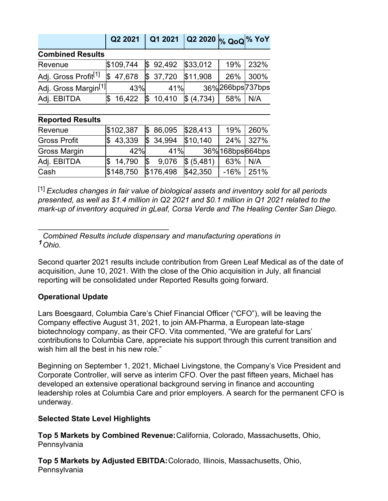|                                  | Q2 2021       | Q1 2021  | Q2 2020 $ v_6 \text{ QoQ} $ % YoY |                 |      |
|----------------------------------|---------------|----------|-----------------------------------|-----------------|------|
| <b>Combined Results</b>          |               |          |                                   |                 |      |
| Revenue                          | \$109,744     | \$92,492 | \$33,012                          | 19%             | 232% |
| Adj. Gross Profit <sup>[1]</sup> | 47,678<br>I\$ | 37,720   | \$11,908                          | 26%             | 300% |
| Adj. Gross Margin <sup>[1]</sup> | 43%           | 41%      |                                   | 36%266bps737bps |      |
| Adj. EBITDA                      | 16,422<br>\$  | 10,410   | (4,734)                           | 58%             | N/A  |
| <b>Renorted Results</b>          |               |          |                                   |                 |      |

#### **Reported Results**

| Revenue             | \$102,387 |    | \$86,095  | \$28,413   | 19%               | 260%     |
|---------------------|-----------|----|-----------|------------|-------------------|----------|
| <b>Gross Profit</b> | \$43.339  |    | \$34.994  | \$10,140   |                   | 24% 327% |
| <b>Gross Margin</b> | 42%       |    | 41%       |            | 36% 168bps 664bps |          |
| Adj. EBITDA         | \$14,790  | S. | 9,076     | \$ (5,481) | 63%               | N/A      |
| Cash                | \$148,750 |    | \$176,498 | \$42,350   | $-16%$            | 251%     |

[1] *Excludes changes in fair value of biological assets and inventory sold for all periods presented, as well as \$1.4 million in Q2 2021 and \$0.1 million in Q1 2021 related to the mark-up of inventory acquired in gLeaf, Corsa Verde and The Healing Center San Diego.*

*1 Ohio. Combined Results include dispensary and manufacturing operations in*

Second quarter 2021 results include contribution from Green Leaf Medical as of the date of acquisition, June 10, 2021. With the close of the Ohio acquisition in July, all financial reporting will be consolidated under Reported Results going forward.

## **Operational Update**

\_\_\_\_\_\_\_\_\_\_\_\_\_\_\_\_\_\_\_\_\_\_\_\_\_\_\_\_\_\_\_

Lars Boesgaard, Columbia Care's Chief Financial Officer ("CFO"), will be leaving the Company effective August 31, 2021, to join AM-Pharma, a European late-stage biotechnology company, as their CFO. Vita commented, "We are grateful for Lars' contributions to Columbia Care, appreciate his support through this current transition and wish him all the best in his new role."

Beginning on September 1, 2021, Michael Livingstone, the Company's Vice President and Corporate Controller, will serve as interim CFO. Over the past fifteen years, Michael has developed an extensive operational background serving in finance and accounting leadership roles at Columbia Care and prior employers. A search for the permanent CFO is underway.

## **Selected State Level Highlights**

**Top 5 Markets by Combined Revenue:**California, Colorado, Massachusetts, Ohio, **Pennsylvania** 

**Top 5 Markets by Adjusted EBITDA:**Colorado, Illinois, Massachusetts, Ohio, Pennsylvania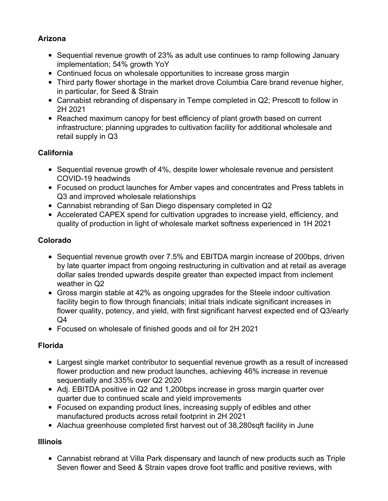# **Arizona**

- Sequential revenue growth of 23% as adult use continues to ramp following January implementation; 54% growth YoY
- Continued focus on wholesale opportunities to increase gross margin
- Third party flower shortage in the market drove Columbia Care brand revenue higher, in particular, for Seed & Strain
- Cannabist rebranding of dispensary in Tempe completed in Q2; Prescott to follow in 2H 2021
- Reached maximum canopy for best efficiency of plant growth based on current infrastructure; planning upgrades to cultivation facility for additional wholesale and retail supply in Q3

# **California**

- Sequential revenue growth of 4%, despite lower wholesale revenue and persistent COVID-19 headwinds
- Focused on product launches for Amber vapes and concentrates and Press tablets in Q3 and improved wholesale relationships
- Cannabist rebranding of San Diego dispensary completed in Q2
- Accelerated CAPEX spend for cultivation upgrades to increase yield, efficiency, and quality of production in light of wholesale market softness experienced in 1H 2021

# **Colorado**

- Sequential revenue growth over 7.5% and EBITDA margin increase of 200bps, driven by late quarter impact from ongoing restructuring in cultivation and at retail as average dollar sales trended upwards despite greater than expected impact from inclement weather in Q2
- Gross margin stable at 42% as ongoing upgrades for the Steele indoor cultivation facility begin to flow through financials; initial trials indicate significant increases in flower quality, potency, and yield, with first significant harvest expected end of Q3/early Q4
- Focused on wholesale of finished goods and oil for 2H 2021

# **Florida**

- Largest single market contributor to sequential revenue growth as a result of increased flower production and new product launches, achieving 46% increase in revenue sequentially and 335% over Q2 2020
- Adj. EBITDA positive in Q2 and 1,200bps increase in gross margin quarter over quarter due to continued scale and yield improvements
- Focused on expanding product lines, increasing supply of edibles and other manufactured products across retail footprint in 2H 2021
- Alachua greenhouse completed first harvest out of 38,280sqft facility in June

# **Illinois**

Cannabist rebrand at Villa Park dispensary and launch of new products such as Triple Seven flower and Seed & Strain vapes drove foot traffic and positive reviews, with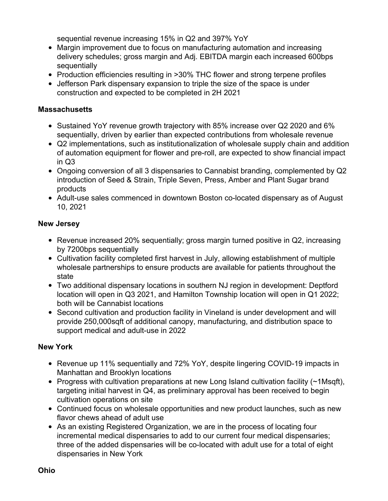sequential revenue increasing 15% in Q2 and 397% YoY

- Margin improvement due to focus on manufacturing automation and increasing delivery schedules; gross margin and Adj. EBITDA margin each increased 600bps sequentially
- Production efficiencies resulting in >30% THC flower and strong terpene profiles
- Jefferson Park dispensary expansion to triple the size of the space is under construction and expected to be completed in 2H 2021

#### **Massachusetts**

- Sustained YoY revenue growth trajectory with 85% increase over Q2 2020 and 6% sequentially, driven by earlier than expected contributions from wholesale revenue
- Q2 implementations, such as institutionalization of wholesale supply chain and addition of automation equipment for flower and pre-roll, are expected to show financial impact in Q3
- Ongoing conversion of all 3 dispensaries to Cannabist branding, complemented by Q2 introduction of Seed & Strain, Triple Seven, Press, Amber and Plant Sugar brand products
- Adult-use sales commenced in downtown Boston co-located dispensary as of August 10, 2021

# **New Jersey**

- Revenue increased 20% sequentially; gross margin turned positive in Q2, increasing by 7200bps sequentially
- Cultivation facility completed first harvest in July, allowing establishment of multiple wholesale partnerships to ensure products are available for patients throughout the state
- Two additional dispensary locations in southern NJ region in development: Deptford location will open in Q3 2021, and Hamilton Township location will open in Q1 2022; both will be Cannabist locations
- Second cultivation and production facility in Vineland is under development and will provide 250,000sqft of additional canopy, manufacturing, and distribution space to support medical and adult-use in 2022

## **New York**

- Revenue up 11% sequentially and 72% YoY, despite lingering COVID-19 impacts in Manhattan and Brooklyn locations
- Progress with cultivation preparations at new Long Island cultivation facility (~1Msqft), targeting initial harvest in Q4, as preliminary approval has been received to begin cultivation operations on site
- Continued focus on wholesale opportunities and new product launches, such as new flavor chews ahead of adult use
- As an existing Registered Organization, we are in the process of locating four incremental medical dispensaries to add to our current four medical dispensaries; three of the added dispensaries will be co-located with adult use for a total of eight dispensaries in New York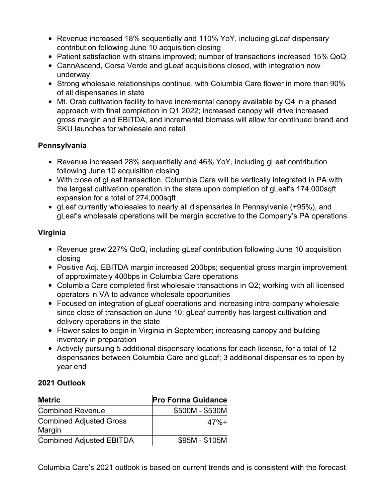- Revenue increased 18% sequentially and 110% YoY, including gLeaf dispensary contribution following June 10 acquisition closing
- Patient satisfaction with strains improved; number of transactions increased 15% QoQ
- CannAscend, Corsa Verde and gLeaf acquisitions closed, with integration now underway
- Strong wholesale relationships continue, with Columbia Care flower in more than 90% of all dispensaries in state
- Mt. Orab cultivation facility to have incremental canopy available by Q4 in a phased approach with final completion in Q1 2022; increased canopy will drive increased gross margin and EBITDA, and incremental biomass will allow for continued brand and SKU launches for wholesale and retail

# **Pennsylvania**

- Revenue increased 28% sequentially and 46% YoY, including gLeaf contribution following June 10 acquisition closing
- With close of gLeaf transaction, Columbia Care will be vertically integrated in PA with the largest cultivation operation in the state upon completion of gLeaf's 174,000sqft expansion for a total of 274,000sqft
- gLeaf currently wholesales to nearly all dispensaries in Pennsylvania (+95%), and gLeaf's wholesale operations will be margin accretive to the Company's PA operations

# **Virginia**

- Revenue grew 227% QoQ, including gLeaf contribution following June 10 acquisition closing
- Positive Adj. EBITDA margin increased 200bps; sequential gross margin improvement of approximately 400bps in Columbia Care operations
- Columbia Care completed first wholesale transactions in Q2; working with all licensed operators in VA to advance wholesale opportunities
- Focused on integration of gLeaf operations and increasing intra-company wholesale since close of transaction on June 10; gLeaf currently has largest cultivation and delivery operations in the state
- Flower sales to begin in Virginia in September; increasing canopy and building inventory in preparation
- Actively pursuing 5 additional dispensary locations for each license, for a total of 12 dispensaries between Columbia Care and gLeaf; 3 additional dispensaries to open by year end

## **2021 Outlook**

| <b>Metric</b>                            | <b>Pro Forma Guidance</b> |
|------------------------------------------|---------------------------|
| <b>Combined Revenue</b>                  | \$500M - \$530M           |
| <b>Combined Adjusted Gross</b><br>Margin | $47% +$                   |
| <b>Combined Adjusted EBITDA</b>          | \$95M - \$105M            |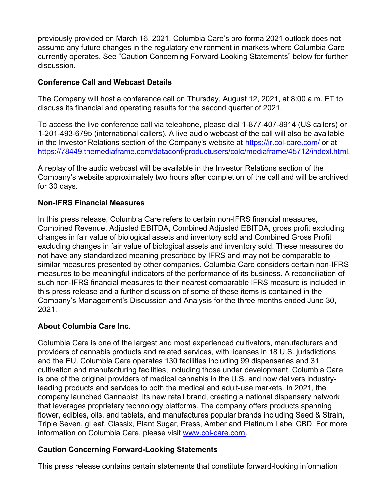previously provided on March 16, 2021. Columbia Care's pro forma 2021 outlook does not assume any future changes in the regulatory environment in markets where Columbia Care currently operates. See "Caution Concerning Forward-Looking Statements" below for further discussion.

#### **Conference Call and Webcast Details**

The Company will host a conference call on Thursday, August 12, 2021, at 8:00 a.m. ET to discuss its financial and operating results for the second quarter of 2021.

To access the live conference call via telephone, please dial 1-877-407-8914 (US callers) or 1-201-493-6795 (international callers). A live audio webcast of the call will also be available in the Investor Relations section of the Company's website at <https://ir.col-care.com/> or at <https://78449.themediaframe.com/dataconf/productusers/colc/mediaframe/45712/indexl.html>.

A replay of the audio webcast will be available in the Investor Relations section of the Company's website approximately two hours after completion of the call and will be archived for 30 days.

# **Non-IFRS Financial Measures**

In this press release, Columbia Care refers to certain non-IFRS financial measures, Combined Revenue, Adjusted EBITDA, Combined Adjusted EBITDA, gross profit excluding changes in fair value of biological assets and inventory sold and Combined Gross Profit excluding changes in fair value of biological assets and inventory sold. These measures do not have any standardized meaning prescribed by IFRS and may not be comparable to similar measures presented by other companies. Columbia Care considers certain non-IFRS measures to be meaningful indicators of the performance of its business. A reconciliation of such non-IFRS financial measures to their nearest comparable IFRS measure is included in this press release and a further discussion of some of these items is contained in the Company's Management's Discussion and Analysis for the three months ended June 30, 2021.

## **About Columbia Care Inc.**

Columbia Care is one of the largest and most experienced cultivators, manufacturers and providers of cannabis products and related services, with licenses in 18 U.S. jurisdictions and the EU. Columbia Care operates 130 facilities including 99 dispensaries and 31 cultivation and manufacturing facilities, including those under development. Columbia Care is one of the original providers of medical cannabis in the U.S. and now delivers industryleading products and services to both the medical and adult-use markets. In 2021, the company launched Cannabist, its new retail brand, creating a national dispensary network that leverages proprietary technology platforms. The company offers products spanning flower, edibles, oils, and tablets, and manufactures popular brands including Seed & Strain, Triple Seven, gLeaf, Classix, Plant Sugar, Press, Amber and Platinum Label CBD. For more information on Columbia Care, please visit [www.col-care.com](http://www.col-care.com).

## **Caution Concerning Forward-Looking Statements**

This press release contains certain statements that constitute forward-looking information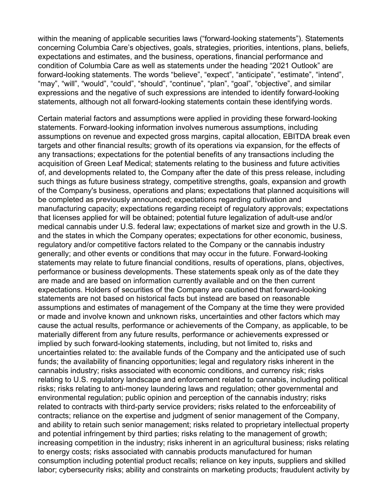within the meaning of applicable securities laws ("forward-looking statements"). Statements concerning Columbia Care's objectives, goals, strategies, priorities, intentions, plans, beliefs, expectations and estimates, and the business, operations, financial performance and condition of Columbia Care as well as statements under the heading "2021 Outlook" are forward-looking statements. The words "believe", "expect", "anticipate", "estimate", "intend", "may", "will", "would", "could", "should", "continue", "plan", "goal", "objective", and similar expressions and the negative of such expressions are intended to identify forward-looking statements, although not all forward-looking statements contain these identifying words.

Certain material factors and assumptions were applied in providing these forward-looking statements. Forward-looking information involves numerous assumptions, including assumptions on revenue and expected gross margins, capital allocation, EBITDA break even targets and other financial results; growth of its operations via expansion, for the effects of any transactions; expectations for the potential benefits of any transactions including the acquisition of Green Leaf Medical; statements relating to the business and future activities of, and developments related to, the Company after the date of this press release, including such things as future business strategy, competitive strengths, goals, expansion and growth of the Company's business, operations and plans; expectations that planned acquisitions will be completed as previously announced; expectations regarding cultivation and manufacturing capacity; expectations regarding receipt of regulatory approvals; expectations that licenses applied for will be obtained; potential future legalization of adult-use and/or medical cannabis under U.S. federal law; expectations of market size and growth in the U.S. and the states in which the Company operates; expectations for other economic, business, regulatory and/or competitive factors related to the Company or the cannabis industry generally; and other events or conditions that may occur in the future. Forward-looking statements may relate to future financial conditions, results of operations, plans, objectives, performance or business developments. These statements speak only as of the date they are made and are based on information currently available and on the then current expectations. Holders of securities of the Company are cautioned that forward-looking statements are not based on historical facts but instead are based on reasonable assumptions and estimates of management of the Company at the time they were provided or made and involve known and unknown risks, uncertainties and other factors which may cause the actual results, performance or achievements of the Company, as applicable, to be materially different from any future results, performance or achievements expressed or implied by such forward-looking statements, including, but not limited to, risks and uncertainties related to: the available funds of the Company and the anticipated use of such funds; the availability of financing opportunities; legal and regulatory risks inherent in the cannabis industry; risks associated with economic conditions, and currency risk; risks relating to U.S. regulatory landscape and enforcement related to cannabis, including political risks; risks relating to anti-money laundering laws and regulation; other governmental and environmental regulation; public opinion and perception of the cannabis industry; risks related to contracts with third-party service providers; risks related to the enforceability of contracts; reliance on the expertise and judgment of senior management of the Company, and ability to retain such senior management; risks related to proprietary intellectual property and potential infringement by third parties; risks relating to the management of growth; increasing competition in the industry; risks inherent in an agricultural business; risks relating to energy costs; risks associated with cannabis products manufactured for human consumption including potential product recalls; reliance on key inputs, suppliers and skilled labor; cybersecurity risks; ability and constraints on marketing products; fraudulent activity by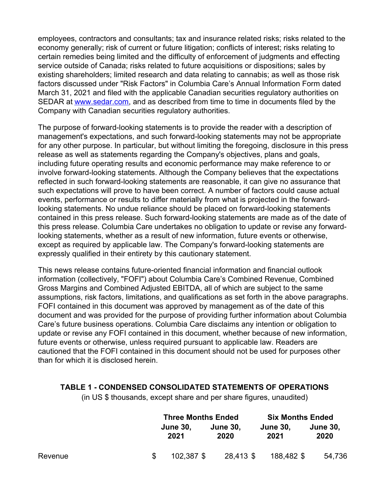employees, contractors and consultants; tax and insurance related risks; risks related to the economy generally; risk of current or future litigation; conflicts of interest; risks relating to certain remedies being limited and the difficulty of enforcement of judgments and effecting service outside of Canada; risks related to future acquisitions or dispositions; sales by existing shareholders; limited research and data relating to cannabis; as well as those risk factors discussed under "Risk Factors" in Columbia Care's Annual Information Form dated March 31, 2021 and filed with the applicable Canadian securities regulatory authorities on SEDAR at [www.sedar.com](http://www.sedar.com), and as described from time to time in documents filed by the Company with Canadian securities regulatory authorities.

The purpose of forward-looking statements is to provide the reader with a description of management's expectations, and such forward-looking statements may not be appropriate for any other purpose. In particular, but without limiting the foregoing, disclosure in this press release as well as statements regarding the Company's objectives, plans and goals, including future operating results and economic performance may make reference to or involve forward-looking statements. Although the Company believes that the expectations reflected in such forward-looking statements are reasonable, it can give no assurance that such expectations will prove to have been correct. A number of factors could cause actual events, performance or results to differ materially from what is projected in the forwardlooking statements. No undue reliance should be placed on forward-looking statements contained in this press release. Such forward-looking statements are made as of the date of this press release. Columbia Care undertakes no obligation to update or revise any forwardlooking statements, whether as a result of new information, future events or otherwise, except as required by applicable law. The Company's forward-looking statements are expressly qualified in their entirety by this cautionary statement.

This news release contains future-oriented financial information and financial outlook information (collectively, "FOFI") about Columbia Care's Combined Revenue, Combined Gross Margins and Combined Adjusted EBITDA, all of which are subject to the same assumptions, risk factors, limitations, and qualifications as set forth in the above paragraphs. FOFI contained in this document was approved by management as of the date of this document and was provided for the purpose of providing further information about Columbia Care's future business operations. Columbia Care disclaims any intention or obligation to update or revise any FOFI contained in this document, whether because of new information, future events or otherwise, unless required pursuant to applicable law. Readers are cautioned that the FOFI contained in this document should not be used for purposes other than for which it is disclosed herein.

## **TABLE 1 - CONDENSED CONSOLIDATED STATEMENTS OF OPERATIONS**

(in US \$ thousands, except share and per share figures, unaudited)

|         | <b>Three Months Ended</b> |                         | <b>Six Months Ended</b> |                         |
|---------|---------------------------|-------------------------|-------------------------|-------------------------|
|         | <b>June 30,</b><br>2021   | <b>June 30.</b><br>2020 | <b>June 30.</b><br>2021 | <b>June 30,</b><br>2020 |
| Revenue | 102.387 \$                | 28,413 \$               | 188,482 \$              | 54,736                  |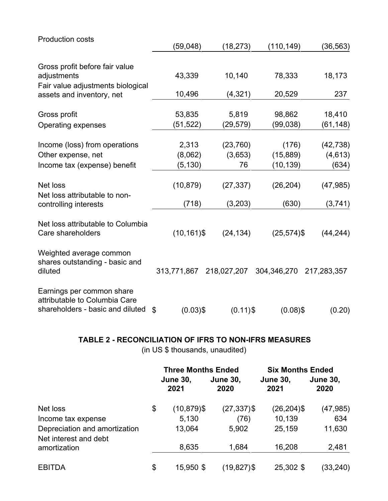| <b>Production costs</b>           |                   |             |                |             |
|-----------------------------------|-------------------|-------------|----------------|-------------|
|                                   | (59, 048)         | (18, 273)   | (110, 149)     | (36, 563)   |
| Gross profit before fair value    |                   |             |                |             |
| adjustments                       | 43,339            | 10,140      | 78,333         | 18,173      |
| Fair value adjustments biological |                   |             |                |             |
| assets and inventory, net         | 10,496            | (4, 321)    | 20,529         | 237         |
|                                   |                   |             |                |             |
| Gross profit                      | 53,835            | 5,819       | 98,862         | 18,410      |
| Operating expenses                | (51,522)          | (29, 579)   | (99, 038)      | (61, 148)   |
| Income (loss) from operations     | 2,313             | (23, 760)   | (176)          | (42, 738)   |
| Other expense, net                | (8,062)           | (3,653)     | (15, 889)      | (4,613)     |
| Income tax (expense) benefit      | (5, 130)          | 76          | (10, 139)      | (634)       |
|                                   |                   |             |                |             |
| Net loss                          | (10, 879)         | (27, 337)   | (26, 204)      | (47, 985)   |
| Net loss attributable to non-     |                   |             |                |             |
| controlling interests             | (718)             | (3,203)     | (630)          | (3,741)     |
| Net loss attributable to Columbia |                   |             |                |             |
| Care shareholders                 | $(10, 161)$ \$    | (24, 134)   | $(25, 574)$ \$ | (44, 244)   |
|                                   |                   |             |                |             |
| Weighted average common           |                   |             |                |             |
| shares outstanding - basic and    |                   |             |                |             |
| diluted                           | 313,771,867       | 218,027,207 | 304,346,270    | 217,283,357 |
| Earnings per common share         |                   |             |                |             |
| attributable to Columbia Care     |                   |             |                |             |
| shareholders - basic and diluted  | $(0.03)$ \$<br>\$ | $(0.11)$ \$ | $(0.08)$ \$    | (0.20)      |
|                                   |                   |             |                |             |

# **TABLE 2 - RECONCILIATION OF IFRS TO NON-IFRS MEASURES**

(in US \$ thousands, unaudited)

|                                                        | <b>Three Months Ended</b> |                         | <b>Six Months Ended</b> |                         |
|--------------------------------------------------------|---------------------------|-------------------------|-------------------------|-------------------------|
|                                                        | <b>June 30,</b><br>2021   | <b>June 30,</b><br>2020 | <b>June 30,</b><br>2021 | <b>June 30,</b><br>2020 |
| Net loss                                               | \$<br>$(10, 879)$ \$      | $(27, 337)$ \$          | $(26, 204)$ \$          | (47, 985)               |
| Income tax expense                                     | 5,130                     | (76)                    | 10,139                  | 634                     |
| Depreciation and amortization<br>Net interest and debt | 13,064                    | 5,902                   | 25,159                  | 11,630                  |
| amortization                                           | 8,635                     | 1,684                   | 16,208                  | 2,481                   |
| <b>EBITDA</b>                                          | \$<br>15,950 \$           | $(19, 827)$ \$          | 25,302 \$               | (33,240)                |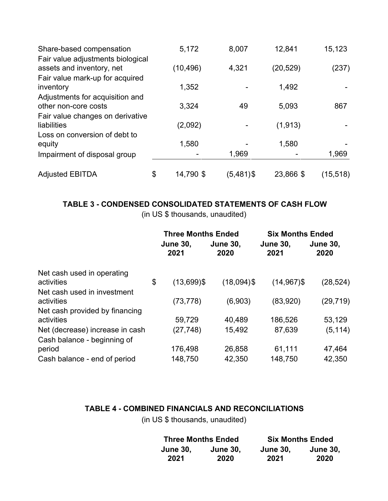| Share-based compensation                                                                          | 5,172           | 8,007     | 12,841    | 15,123    |
|---------------------------------------------------------------------------------------------------|-----------------|-----------|-----------|-----------|
| Fair value adjustments biological<br>assets and inventory, net<br>Fair value mark-up for acquired | (10, 496)       | 4,321     | (20,529)  | (237)     |
| inventory                                                                                         | 1,352           |           | 1,492     |           |
| Adjustments for acquisition and<br>other non-core costs                                           | 3,324           | 49        | 5,093     | 867       |
| Fair value changes on derivative<br>liabilities                                                   | (2,092)         |           | (1, 913)  |           |
| Loss on conversion of debt to<br>equity                                                           | 1,580           |           | 1,580     |           |
| Impairment of disposal group                                                                      |                 | 1,969     |           | 1,969     |
| <b>Adjusted EBITDA</b>                                                                            | \$<br>14,790 \$ | (5,481)\$ | 23,866 \$ | (15, 518) |

# **TABLE 3 - CONDENSED CONSOLIDATED STATEMENTS OF CASH FLOW**

(in US \$ thousands, unaudited)

|                                 | <b>Three Months Ended</b> |                         | <b>Six Months Ended</b> |                         |
|---------------------------------|---------------------------|-------------------------|-------------------------|-------------------------|
|                                 | <b>June 30,</b><br>2021   | <b>June 30.</b><br>2020 | <b>June 30,</b><br>2021 | <b>June 30,</b><br>2020 |
| Net cash used in operating      |                           |                         |                         |                         |
| activities                      | \$<br>$(13,699)$ \$       | $(18,094)$ \$           | $(14,967)$ \$           | (28, 524)               |
| Net cash used in investment     |                           |                         |                         |                         |
| activities                      | (73, 778)                 | (6,903)                 | (83,920)                | (29, 719)               |
| Net cash provided by financing  |                           |                         |                         |                         |
| activities                      | 59,729                    | 40,489                  | 186,526                 | 53,129                  |
| Net (decrease) increase in cash | (27, 748)                 | 15,492                  | 87,639                  | (5, 114)                |
| Cash balance - beginning of     |                           |                         |                         |                         |
| period                          | 176,498                   | 26,858                  | 61,111                  | 47,464                  |
| Cash balance - end of period    | 148,750                   | 42,350                  | 148,750                 | 42,350                  |

# **TABLE 4 - COMBINED FINANCIALS AND RECONCILIATIONS**

(in US \$ thousands, unaudited)

|                 | <b>Three Months Ended</b> | <b>Six Months Ended</b> |                 |
|-----------------|---------------------------|-------------------------|-----------------|
| <b>June 30.</b> | <b>June 30,</b>           | <b>June 30.</b>         | <b>June 30,</b> |
| 2021            | 2020                      | 2021                    | 2020            |